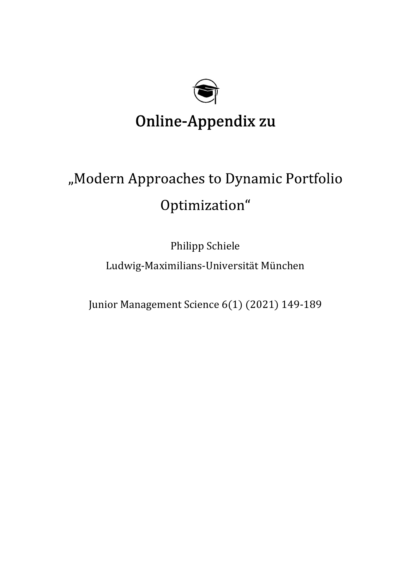

## Online-Appendix zu

# "Modern Approaches to Dynamic Portfolio Optimization"

Philipp Schiele Ludwig-Maximilians-Universität München

Junior Management Science 6(1) (2021) 149-189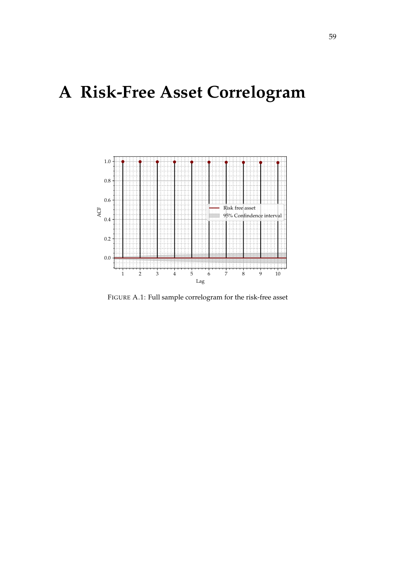## **A Risk-Free Asset Correlogram**



FIGURE A.1: Full sample correlogram for the risk-free asset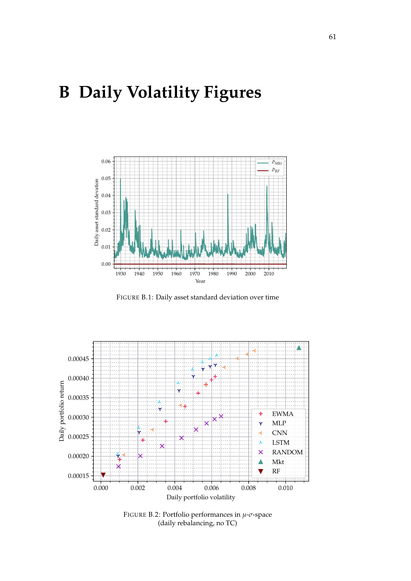## **B Daily Volatility Figures**



FIGURE B.1: Daily asset standard deviation over time



FIGURE B.2: Portfolio performances in *µ*-*σ*-space (daily rebalancing, no TC)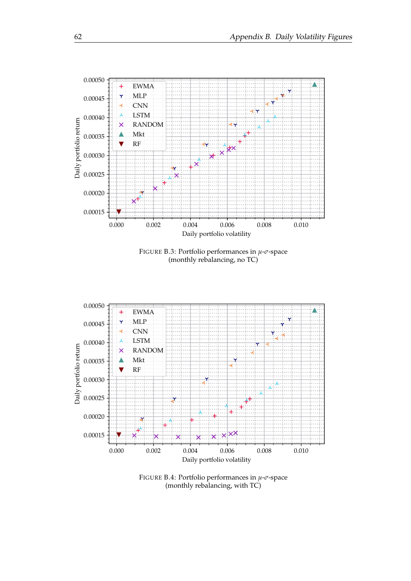





FIGURE B.4: Portfolio performances in *µ*-*σ*-space (monthly rebalancing, with TC)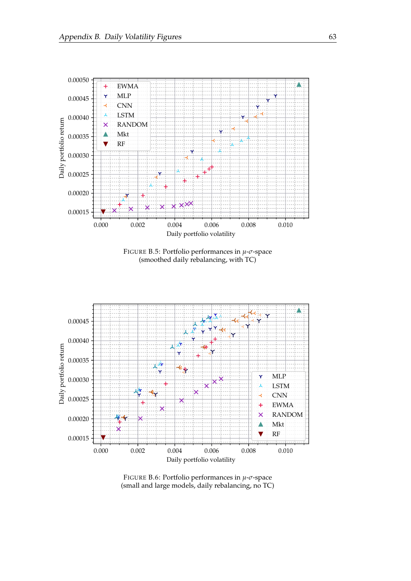

FIGURE B.5: Portfolio performances in *µ*-*σ*-space (smoothed daily rebalancing, with TC)



FIGURE B.6: Portfolio performances in *µ*-*σ*-space (small and large models, daily rebalancing, no TC)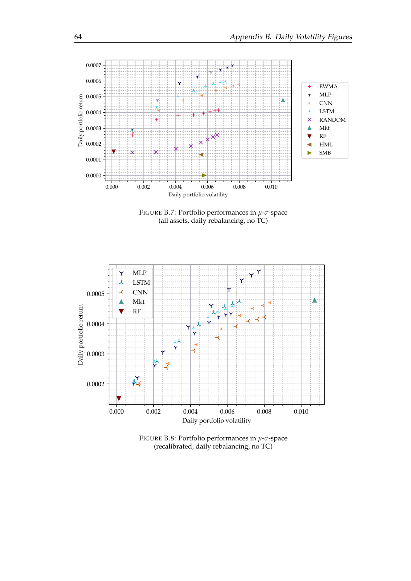

FIGURE B.7: Portfolio performances in *µ*-*σ*-space (all assets, daily rebalancing, no TC)



FIGURE B.8: Portfolio performances in *µ*-*σ*-space (recalibrated, daily rebalancing, no TC)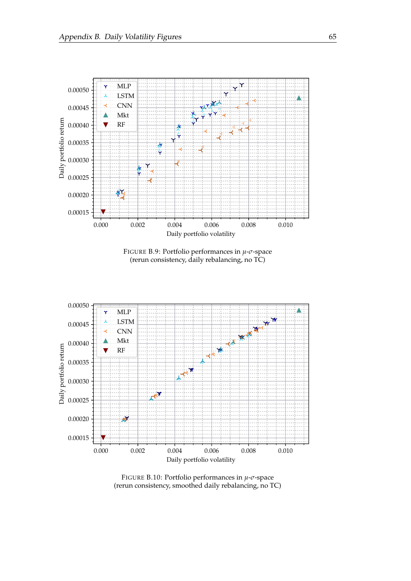

FIGURE B.9: Portfolio performances in *µ*-*σ*-space (rerun consistency, daily rebalancing, no TC)



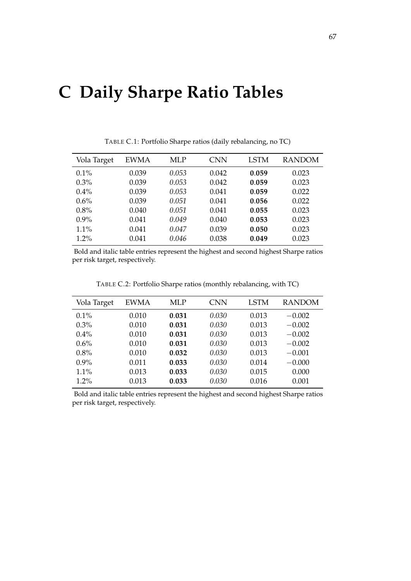#### **C Daily Sharpe Ratio Tables**

| Vola Target | EWMA  | <b>MLP</b> | <b>CNN</b> | <b>LSTM</b> | <b>RANDOM</b> |
|-------------|-------|------------|------------|-------------|---------------|
| $0.1\%$     | 0.039 | 0.053      | 0.042      | 0.059       | 0.023         |
| $0.3\%$     | 0.039 | 0.053      | 0.042      | 0.059       | 0.023         |
| $0.4\%$     | 0.039 | 0.053      | 0.041      | 0.059       | 0.022         |
| 0.6%        | 0.039 | 0.051      | 0.041      | 0.056       | 0.022         |
| 0.8%        | 0.040 | 0.051      | 0.041      | 0.055       | 0.023         |
| $0.9\%$     | 0.041 | 0.049      | 0.040      | 0.053       | 0.023         |
| 1.1%        | 0.041 | 0.047      | 0.039      | 0.050       | 0.023         |
| $1.2\%$     | 0.041 | 0.046      | 0.038      | 0.049       | 0.023         |

TABLE C.1: Portfolio Sharpe ratios (daily rebalancing, no TC)

Bold and italic table entries represent the highest and second highest Sharpe ratios per risk target, respectively.

TABLE C.2: Portfolio Sharpe ratios (monthly rebalancing, with TC)

| Vola Target | <b>EWMA</b> | <b>MLP</b> | <b>CNN</b> | <b>LSTM</b> | <b>RANDOM</b> |
|-------------|-------------|------------|------------|-------------|---------------|
| 0.1%        | 0.010       | 0.031      | 0.030      | 0.013       | $-0.002$      |
| $0.3\%$     | 0.010       | 0.031      | 0.030      | 0.013       | $-0.002$      |
| $0.4\%$     | 0.010       | 0.031      | 0.030      | 0.013       | $-0.002$      |
| 0.6%        | 0.010       | 0.031      | 0.030      | 0.013       | $-0.002$      |
| 0.8%        | 0.010       | 0.032      | 0.030      | 0.013       | $-0.001$      |
| $0.9\%$     | 0.011       | 0.033      | 0.030      | 0.014       | $-0.000$      |
| 1.1%        | 0.013       | 0.033      | 0.030      | 0.015       | 0.000         |
| $1.2\%$     | 0.013       | 0.033      | 0.030      | 0.016       | 0.001         |

Bold and italic table entries represent the highest and second highest Sharpe ratios per risk target, respectively.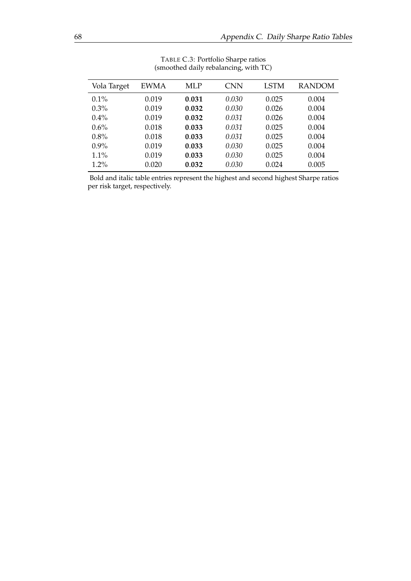| Vola Target | <b>EWMA</b> | MLP   | <b>CNN</b> | LSTM  | <b>RANDOM</b> |
|-------------|-------------|-------|------------|-------|---------------|
| $0.1\%$     | 0.019       | 0.031 | 0.030      | 0.025 | 0.004         |
| 0.3%        | 0.019       | 0.032 | 0.030      | 0.026 | 0.004         |
| $0.4\%$     | 0.019       | 0.032 | 0.031      | 0.026 | 0.004         |
| 0.6%        | 0.018       | 0.033 | 0.031      | 0.025 | 0.004         |
| 0.8%        | 0.018       | 0.033 | 0.031      | 0.025 | 0.004         |
| $0.9\%$     | 0.019       | 0.033 | 0.030      | 0.025 | 0.004         |
| 1.1%        | 0.019       | 0.033 | 0.030      | 0.025 | 0.004         |
| $1.2\%$     | 0.020       | 0.032 | 0.030      | 0.024 | 0.005         |

TABLE C.3: Portfolio Sharpe ratios (smoothed daily rebalancing, with TC)

Bold and italic table entries represent the highest and second highest Sharpe ratios per risk target, respectively.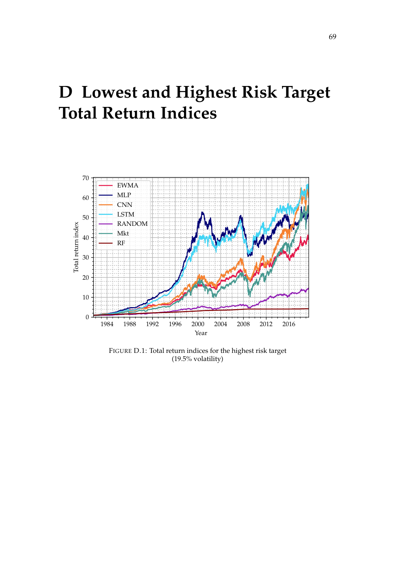## **D Lowest and Highest Risk Target Total Return Indices**



FIGURE D.1: Total return indices for the highest risk target (19.5% volatility)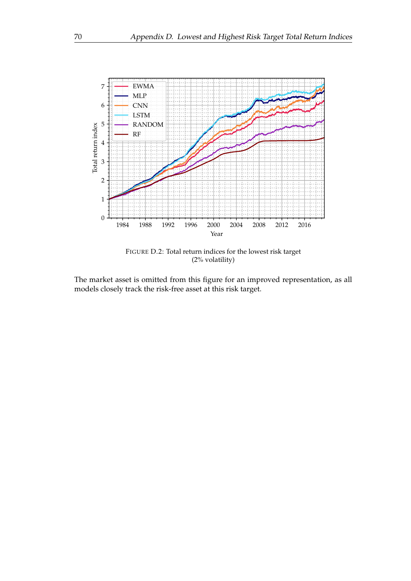

FIGURE D.2: Total return indices for the lowest risk target (2% volatility)

The market asset is omitted from this figure for an improved representation, as all models closely track the risk-free asset at this risk target.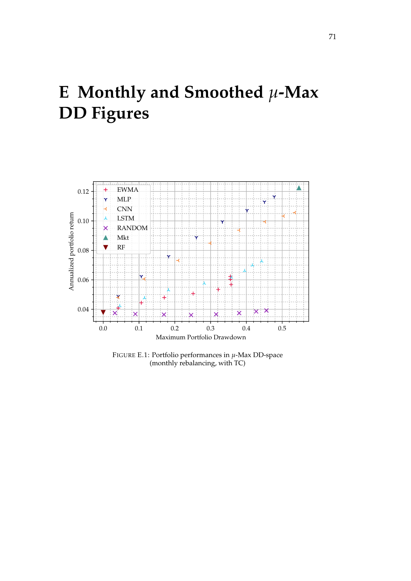## **E Monthly and Smoothed** *µ***-Max DD Figures**



FIGURE E.1: Portfolio performances in *µ*-Max DD-space (monthly rebalancing, with TC)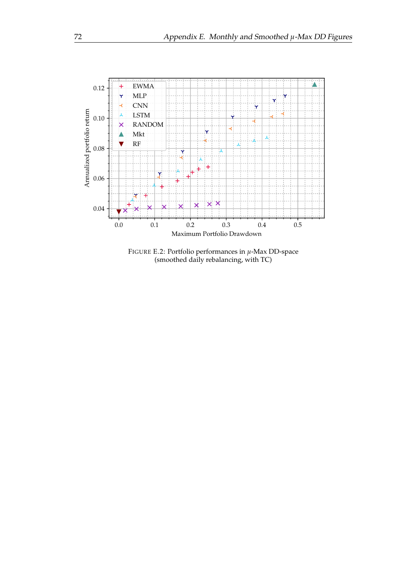

FIGURE E.2: Portfolio performances in *µ*-Max DD-space (smoothed daily rebalancing, with TC)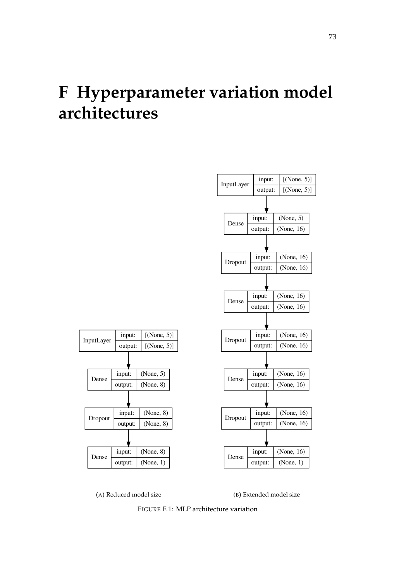## **F Hyperparameter variation model architectures**





InputLayer input:

Dense input:

Dropout nput:

Dense input:

output:

output:

output:

output:

(B) Extended model size

FIGURE F.1: MLP architecture variation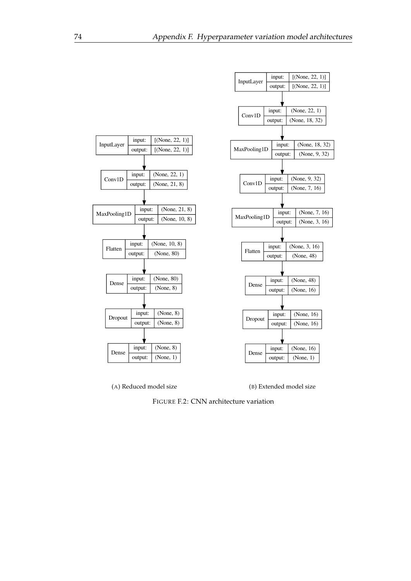

(A) Reduced model size

(B) Extended model size

FIGURE F.2: CNN architecture variation